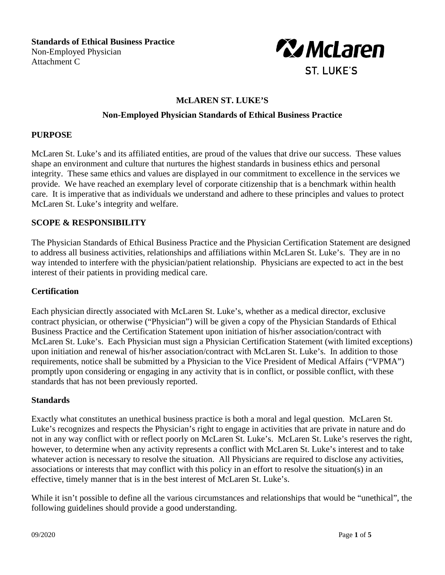**Standards of Ethical Business Practice** Non-Employed Physician Attachment C



# **McLAREN ST. LUKE'S**

## **Non-Employed Physician Standards of Ethical Business Practice**

## **PURPOSE**

McLaren St. Luke's and its affiliated entities, are proud of the values that drive our success. These values shape an environment and culture that nurtures the highest standards in business ethics and personal integrity. These same ethics and values are displayed in our commitment to excellence in the services we provide. We have reached an exemplary level of corporate citizenship that is a benchmark within health care. It is imperative that as individuals we understand and adhere to these principles and values to protect McLaren St. Luke's integrity and welfare.

## **SCOPE & RESPONSIBILITY**

The Physician Standards of Ethical Business Practice and the Physician Certification Statement are designed to address all business activities, relationships and affiliations within McLaren St. Luke's. They are in no way intended to interfere with the physician/patient relationship. Physicians are expected to act in the best interest of their patients in providing medical care.

#### **Certification**

Each physician directly associated with McLaren St. Luke's, whether as a medical director, exclusive contract physician, or otherwise ("Physician") will be given a copy of the Physician Standards of Ethical Business Practice and the Certification Statement upon initiation of his/her association/contract with McLaren St. Luke's. Each Physician must sign a Physician Certification Statement (with limited exceptions) upon initiation and renewal of his/her association/contract with McLaren St. Luke's. In addition to those requirements, notice shall be submitted by a Physician to the Vice President of Medical Affairs ("VPMA") promptly upon considering or engaging in any activity that is in conflict, or possible conflict, with these standards that has not been previously reported.

#### **Standards**

Exactly what constitutes an unethical business practice is both a moral and legal question. McLaren St. Luke's recognizes and respects the Physician's right to engage in activities that are private in nature and do not in any way conflict with or reflect poorly on McLaren St. Luke's. McLaren St. Luke's reserves the right, however, to determine when any activity represents a conflict with McLaren St. Luke's interest and to take whatever action is necessary to resolve the situation. All Physicians are required to disclose any activities, associations or interests that may conflict with this policy in an effort to resolve the situation(s) in an effective, timely manner that is in the best interest of McLaren St. Luke's.

While it isn't possible to define all the various circumstances and relationships that would be "unethical", the following guidelines should provide a good understanding.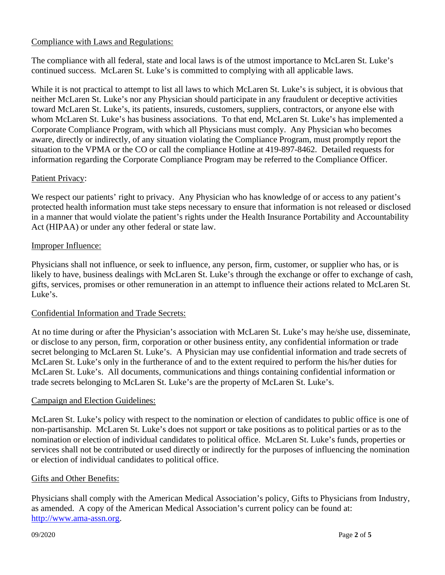# Compliance with Laws and Regulations:

The compliance with all federal, state and local laws is of the utmost importance to McLaren St. Luke's continued success. McLaren St. Luke's is committed to complying with all applicable laws.

While it is not practical to attempt to list all laws to which McLaren St. Luke's is subject, it is obvious that neither McLaren St. Luke's nor any Physician should participate in any fraudulent or deceptive activities toward McLaren St. Luke's, its patients, insureds, customers, suppliers, contractors, or anyone else with whom McLaren St. Luke's has business associations. To that end, McLaren St. Luke's has implemented a Corporate Compliance Program, with which all Physicians must comply. Any Physician who becomes aware, directly or indirectly, of any situation violating the Compliance Program, must promptly report the situation to the VPMA or the CO or call the compliance Hotline at 419-897-8462. Detailed requests for information regarding the Corporate Compliance Program may be referred to the Compliance Officer.

# Patient Privacy:

We respect our patients' right to privacy. Any Physician who has knowledge of or access to any patient's protected health information must take steps necessary to ensure that information is not released or disclosed in a manner that would violate the patient's rights under the Health Insurance Portability and Accountability Act (HIPAA) or under any other federal or state law.

## Improper Influence:

Physicians shall not influence, or seek to influence, any person, firm, customer, or supplier who has, or is likely to have, business dealings with McLaren St. Luke's through the exchange or offer to exchange of cash, gifts, services, promises or other remuneration in an attempt to influence their actions related to McLaren St. Luke's.

#### Confidential Information and Trade Secrets:

At no time during or after the Physician's association with McLaren St. Luke's may he/she use, disseminate, or disclose to any person, firm, corporation or other business entity, any confidential information or trade secret belonging to McLaren St. Luke's. A Physician may use confidential information and trade secrets of McLaren St. Luke's only in the furtherance of and to the extent required to perform the his/her duties for McLaren St. Luke's. All documents, communications and things containing confidential information or trade secrets belonging to McLaren St. Luke's are the property of McLaren St. Luke's.

#### Campaign and Election Guidelines:

McLaren St. Luke's policy with respect to the nomination or election of candidates to public office is one of non-partisanship. McLaren St. Luke's does not support or take positions as to political parties or as to the nomination or election of individual candidates to political office. McLaren St. Luke's funds, properties or services shall not be contributed or used directly or indirectly for the purposes of influencing the nomination or election of individual candidates to political office.

#### Gifts and Other Benefits:

Physicians shall comply with the American Medical Association's policy, Gifts to Physicians from Industry, as amended. A copy of the American Medical Association's current policy can be found at: [http://www.ama-assn.org.](http://www.ama-assn.org/)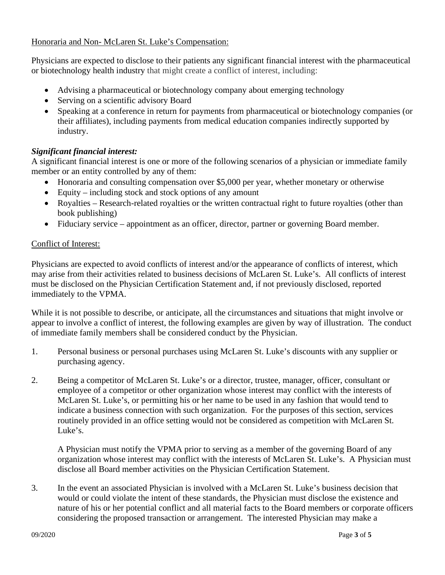# Honoraria and Non- McLaren St. Luke's Compensation:

Physicians are expected to disclose to their patients any significant financial interest with the pharmaceutical or biotechnology health industry that might create a conflict of interest, including:

- Advising a pharmaceutical or biotechnology company about emerging technology
- Serving on a scientific advisory Board
- Speaking at a conference in return for payments from pharmaceutical or biotechnology companies (or their affiliates), including payments from medical education companies indirectly supported by industry.

# *Significant financial interest:*

A significant financial interest is one or more of the following scenarios of a physician or immediate family member or an entity controlled by any of them:

- Honoraria and consulting compensation over \$5,000 per year, whether monetary or otherwise
- Equity including stock and stock options of any amount
- Royalties Research-related royalties or the written contractual right to future royalties (other than book publishing)
- Fiduciary service appointment as an officer, director, partner or governing Board member.

# Conflict of Interest:

Physicians are expected to avoid conflicts of interest and/or the appearance of conflicts of interest, which may arise from their activities related to business decisions of McLaren St. Luke's. All conflicts of interest must be disclosed on the Physician Certification Statement and, if not previously disclosed, reported immediately to the VPMA.

While it is not possible to describe, or anticipate, all the circumstances and situations that might involve or appear to involve a conflict of interest, the following examples are given by way of illustration. The conduct of immediate family members shall be considered conduct by the Physician.

- 1. Personal business or personal purchases using McLaren St. Luke's discounts with any supplier or purchasing agency.
- 2. Being a competitor of McLaren St. Luke's or a director, trustee, manager, officer, consultant or employee of a competitor or other organization whose interest may conflict with the interests of McLaren St. Luke's, or permitting his or her name to be used in any fashion that would tend to indicate a business connection with such organization. For the purposes of this section, services routinely provided in an office setting would not be considered as competition with McLaren St. Luke's.

A Physician must notify the VPMA prior to serving as a member of the governing Board of any organization whose interest may conflict with the interests of McLaren St. Luke's. A Physician must disclose all Board member activities on the Physician Certification Statement.

3. In the event an associated Physician is involved with a McLaren St. Luke's business decision that would or could violate the intent of these standards, the Physician must disclose the existence and nature of his or her potential conflict and all material facts to the Board members or corporate officers considering the proposed transaction or arrangement. The interested Physician may make a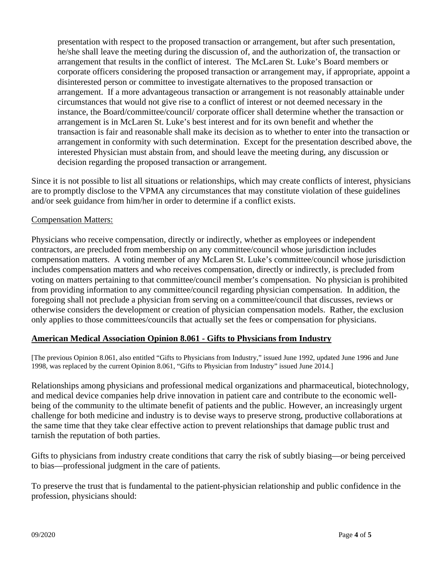presentation with respect to the proposed transaction or arrangement, but after such presentation, he/she shall leave the meeting during the discussion of, and the authorization of, the transaction or arrangement that results in the conflict of interest. The McLaren St. Luke's Board members or corporate officers considering the proposed transaction or arrangement may, if appropriate, appoint a disinterested person or committee to investigate alternatives to the proposed transaction or arrangement. If a more advantageous transaction or arrangement is not reasonably attainable under circumstances that would not give rise to a conflict of interest or not deemed necessary in the instance, the Board/committee/council/ corporate officer shall determine whether the transaction or arrangement is in McLaren St. Luke's best interest and for its own benefit and whether the transaction is fair and reasonable shall make its decision as to whether to enter into the transaction or arrangement in conformity with such determination. Except for the presentation described above, the interested Physician must abstain from, and should leave the meeting during, any discussion or decision regarding the proposed transaction or arrangement.

Since it is not possible to list all situations or relationships, which may create conflicts of interest, physicians are to promptly disclose to the VPMA any circumstances that may constitute violation of these guidelines and/or seek guidance from him/her in order to determine if a conflict exists.

## Compensation Matters:

Physicians who receive compensation, directly or indirectly, whether as employees or independent contractors, are precluded from membership on any committee/council whose jurisdiction includes compensation matters. A voting member of any McLaren St. Luke's committee/council whose jurisdiction includes compensation matters and who receives compensation, directly or indirectly, is precluded from voting on matters pertaining to that committee/council member's compensation. No physician is prohibited from providing information to any committee/council regarding physician compensation. In addition, the foregoing shall not preclude a physician from serving on a committee/council that discusses, reviews or otherwise considers the development or creation of physician compensation models. Rather, the exclusion only applies to those committees/councils that actually set the fees or compensation for physicians.

# **American Medical Association Opinion 8.061 - Gifts to Physicians from Industry**

[The previous Opinion 8.061, also entitled "Gifts to Physicians from Industry," issued June 1992, updated June 1996 and June 1998, was replaced by the current Opinion 8.061, "Gifts to Physician from Industry" issued June 2014.]

Relationships among physicians and professional medical organizations and pharmaceutical, biotechnology, and medical device companies help drive innovation in patient care and contribute to the economic wellbeing of the community to the ultimate benefit of patients and the public. However, an increasingly urgent challenge for both medicine and industry is to devise ways to preserve strong, productive collaborations at the same time that they take clear effective action to prevent relationships that damage public trust and tarnish the reputation of both parties.

Gifts to physicians from industry create conditions that carry the risk of subtly biasing—or being perceived to bias—professional judgment in the care of patients.

To preserve the trust that is fundamental to the patient-physician relationship and public confidence in the profession, physicians should: